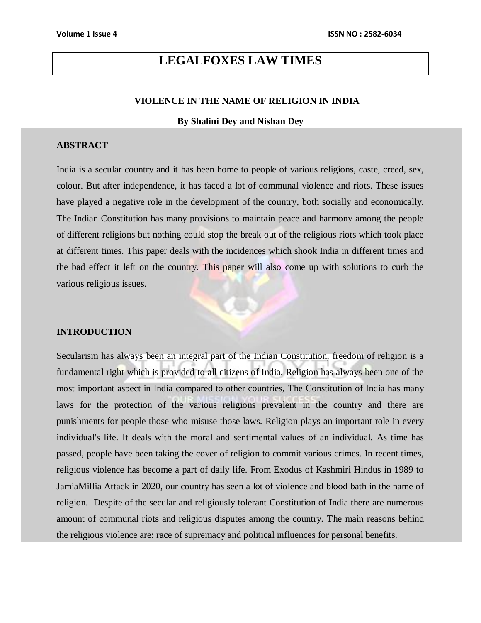# **LEGALFOXES LAW TIMES**

### **VIOLENCE IN THE NAME OF RELIGION IN INDIA**

### **By Shalini Dey and Nishan Dey**

#### **ABSTRACT**

India is a secular country and it has been home to people of various religions, caste, creed, sex, colour. But after independence, it has faced a lot of communal violence and riots. These issues have played a negative role in the development of the country, both socially and economically. The Indian Constitution has many provisions to maintain peace and harmony among the people of different religions but nothing could stop the break out of the religious riots which took place at different times. This paper deals with the incidences which shook India in different times and the bad effect it left on the country. This paper will also come up with solutions to curb the various religious issues.

#### **INTRODUCTION**

Secularism has always been an integral part of the Indian Constitution, freedom of religion is a fundamental right which is provided to all citizens of India. Religion has always been one of the most important aspect in India compared to other countries, The Constitution of India has many laws for the protection of the various religions prevalent in the country and there are punishments for people those who misuse those laws. Religion plays an important role in every individual's life. It deals with the moral and sentimental values of an individual. As time has passed, people have been taking the cover of religion to commit various crimes. In recent times, religious violence has become a part of daily life. From Exodus of Kashmiri Hindus in 1989 to JamiaMillia Attack in 2020, our country has seen a lot of violence and blood bath in the name of religion. Despite of the secular and religiously tolerant Constitution of India there are numerous amount of communal riots and religious disputes among the country. The main reasons behind the religious violence are: race of supremacy and political influences for personal benefits.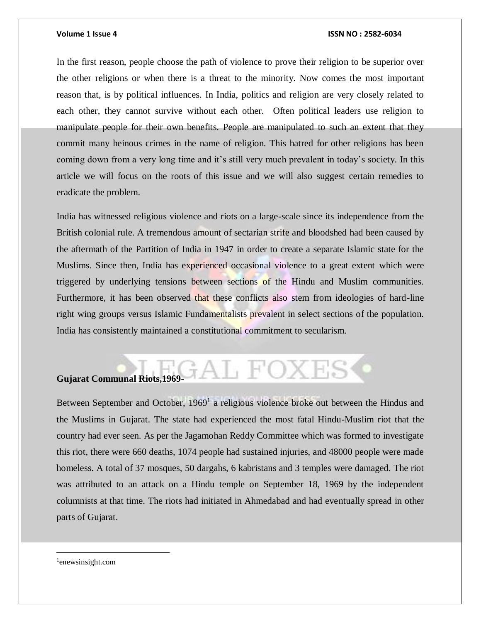In the first reason, people choose the path of violence to prove their religion to be superior over the other religions or when there is a threat to the minority. Now comes the most important reason that, is by political influences. In India, politics and religion are very closely related to each other, they cannot survive without each other. Often political leaders use religion to manipulate people for their own benefits. People are manipulated to such an extent that they commit many heinous crimes in the name of religion. This hatred for other religions has been coming down from a very long time and it's still very much prevalent in today's society. In this article we will focus on the roots of this issue and we will also suggest certain remedies to eradicate the problem.

India has witnessed religious violence and riots on a large-scale since its independence from the British colonial rule. A tremendous amount of sectarian strife and bloodshed had been caused by the aftermath of the Partition of India in 1947 in order to create a separate Islamic state for the Muslims. Since then, India has experienced occasional violence to a great extent which were triggered by underlying tensions between sections of the Hindu and Muslim communities. Furthermore, it has been observed that these conflicts also stem from ideologies of hard-line right wing groups versus Islamic Fundamentalists prevalent in select sections of the population. India has consistently maintained a constitutional commitment to secularism.

## GAL FOXES **Gujarat Communal Riots,1969-**

Between September and October, 1969<sup>1</sup> a religious violence broke out between the Hindus and the Muslims in Gujarat. The state had experienced the most fatal Hindu-Muslim riot that the country had ever seen. As per the Jagamohan Reddy Committee which was formed to investigate this riot, there were 660 deaths, 1074 people had sustained injuries, and 48000 people were made homeless. A total of 37 mosques, 50 dargahs, 6 kabristans and 3 temples were damaged. The riot was attributed to an attack on a Hindu temple on September 18, 1969 by the independent columnists at that time. The riots had initiated in Ahmedabad and had eventually spread in other parts of Gujarat.

1 enewsinsight.com

 $\overline{a}$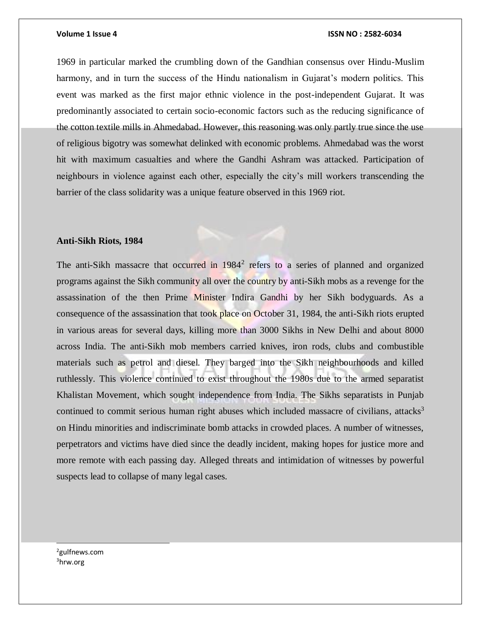1969 in particular marked the crumbling down of the Gandhian consensus over Hindu-Muslim harmony, and in turn the success of the Hindu nationalism in Gujarat's modern politics. This event was marked as the first major ethnic violence in the post-independent Gujarat. It was predominantly associated to certain socio-economic factors such as the reducing significance of the cotton textile mills in Ahmedabad. However, this reasoning was only partly true since the use of religious bigotry was somewhat delinked with economic problems. Ahmedabad was the worst hit with maximum casualties and where the Gandhi Ashram was attacked. Participation of neighbours in violence against each other, especially the city's mill workers transcending the barrier of the class solidarity was a unique feature observed in this 1969 riot.

#### **Anti-Sikh Riots, 1984**

The anti-Sikh massacre that occurred in 1984<sup>2</sup> refers to a series of planned and organized programs against the Sikh community all over the country by anti-Sikh mobs as a revenge for the assassination of the then Prime Minister Indira Gandhi by her Sikh bodyguards. As a consequence of the assassination that took place on October 31, 1984, the anti-Sikh riots erupted in various areas for several days, killing more than 3000 Sikhs in New Delhi and about 8000 across India. The anti-Sikh mob members carried knives, iron rods, clubs and combustible materials such as petrol and diesel. They barged into the Sikh neighbourhoods and killed ruthlessly. This violence continued to exist throughout the 1980s due to the armed separatist Khalistan Movement, which sought independence from India. The Sikhs separatists in Punjab continued to commit serious human right abuses which included massacre of civilians, attacks<sup>3</sup> on Hindu minorities and indiscriminate bomb attacks in crowded places. A number of witnesses, perpetrators and victims have died since the deadly incident, making hopes for justice more and more remote with each passing day. Alleged threats and intimidation of witnesses by powerful suspects lead to collapse of many legal cases.

<sup>2</sup>gulfnews.com 3hrw.org

l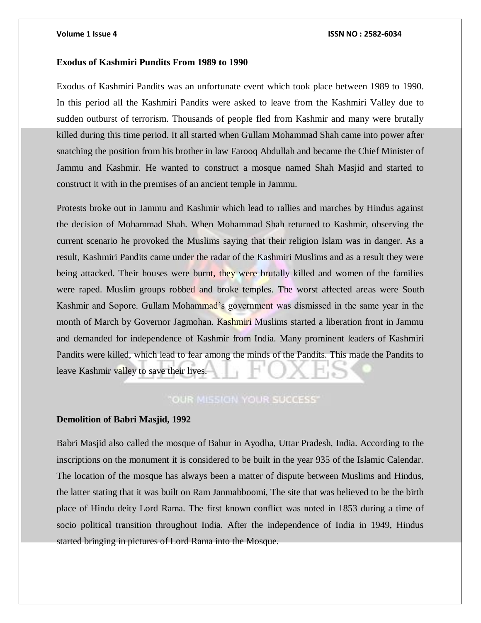#### **Exodus of Kashmiri Pundits From 1989 to 1990**

Exodus of Kashmiri Pandits was an unfortunate event which took place between 1989 to 1990. In this period all the Kashmiri Pandits were asked to leave from the Kashmiri Valley due to sudden outburst of terrorism. Thousands of people fled from Kashmir and many were brutally killed during this time period. It all started when Gullam Mohammad Shah came into power after snatching the position from his brother in law Farooq Abdullah and became the Chief Minister of Jammu and Kashmir. He wanted to construct a mosque named Shah Masjid and started to construct it with in the premises of an ancient temple in Jammu.

Protests broke out in Jammu and Kashmir which lead to rallies and marches by Hindus against the decision of Mohammad Shah. When Mohammad Shah returned to Kashmir, observing the current scenario he provoked the Muslims saying that their religion Islam was in danger. As a result, Kashmiri Pandits came under the radar of the Kashmiri Muslims and as a result they were being attacked. Their houses were burnt, they were brutally killed and women of the families were raped. Muslim groups robbed and broke temples. The worst affected areas were South Kashmir and Sopore. Gullam Mohammad's government was dismissed in the same year in the month of March by Governor Jagmohan. Kashmiri Muslims started a liberation front in Jammu and demanded for independence of Kashmir from India. Many prominent leaders of Kashmiri Pandits were killed, which lead to fear among the minds of the Pandits. This made the Pandits to leave Kashmir valley to save their lives.

### **"OUR MISSION YOUR SUCCESS"**

### **Demolition of Babri Masjid, 1992**

Babri Masjid also called the mosque of Babur in Ayodha, Uttar Pradesh, India. According to the inscriptions on the monument it is considered to be built in the year 935 of the Islamic Calendar. The location of the mosque has always been a matter of dispute between Muslims and Hindus, the latter stating that it was built on Ram Janmabboomi, The site that was believed to be the birth place of Hindu deity Lord Rama. The first known conflict was noted in 1853 during a time of socio political transition throughout India. After the independence of India in 1949, Hindus started bringing in pictures of Lord Rama into the Mosque.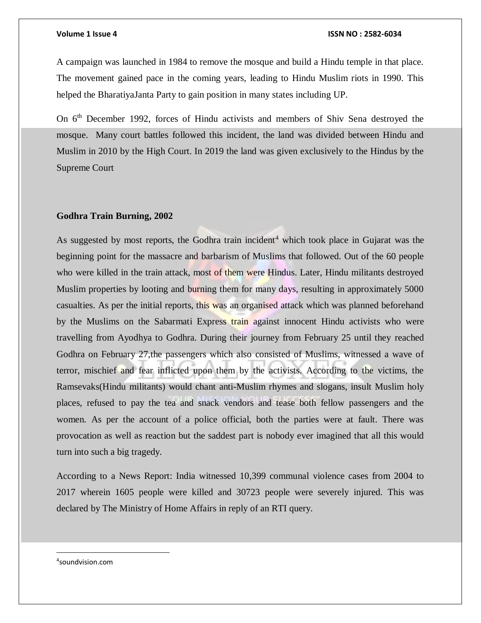A campaign was launched in 1984 to remove the mosque and build a Hindu temple in that place. The movement gained pace in the coming years, leading to Hindu Muslim riots in 1990. This helped the BharatiyaJanta Party to gain position in many states including UP.

On 6<sup>th</sup> December 1992, forces of Hindu activists and members of Shiv Sena destroyed the mosque. Many court battles followed this incident, the land was divided between Hindu and Muslim in 2010 by the High Court. In 2019 the land was given exclusively to the Hindus by the Supreme Court

### **Godhra Train Burning, 2002**

As suggested by most reports, the Godhra train incident<sup>4</sup> which took place in Gujarat was the beginning point for the massacre and barbarism of Muslims that followed. Out of the 60 people who were killed in the train attack, most of them were Hindus. Later, Hindu militants destroyed Muslim properties by looting and burning them for many days, resulting in approximately 5000 casualties. As per the initial reports, this was an organised attack which was planned beforehand by the Muslims on the Sabarmati Express train against innocent Hindu activists who were travelling from Ayodhya to Godhra. During their journey from February 25 until they reached Godhra on February 27,the passengers which also consisted of Muslims, witnessed a wave of terror, mischief and fear inflicted upon them by the activists. According to the victims, the Ramsevaks(Hindu militants) would chant anti-Muslim rhymes and slogans, insult Muslim holy places, refused to pay the tea and snack vendors and tease both fellow passengers and the women. As per the account of a police official, both the parties were at fault. There was provocation as well as reaction but the saddest part is nobody ever imagined that all this would turn into such a big tragedy.

According to a News Report: India witnessed 10,399 communal violence cases from 2004 to 2017 wherein 1605 people were killed and 30723 people were severely injured. This was declared by The Ministry of Home Affairs in reply of an RTI query.

4 soundvision.com

 $\overline{a}$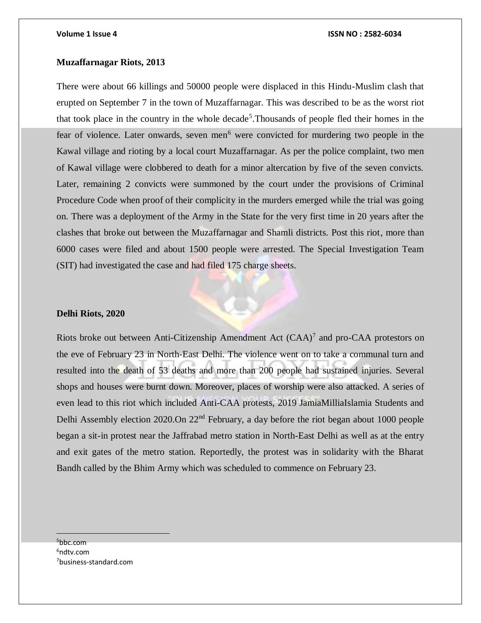### **Muzaffarnagar Riots, 2013**

There were about 66 killings and 50000 people were displaced in this Hindu-Muslim clash that erupted on September 7 in the town of Muzaffarnagar. This was described to be as the worst riot that took place in the country in the whole decade<sup>5</sup>. Thousands of people fled their homes in the fear of violence. Later onwards, seven men<sup> $6$ </sup> were convicted for murdering two people in the Kawal village and rioting by a local court Muzaffarnagar. As per the police complaint, two men of Kawal village were clobbered to death for a minor altercation by five of the seven convicts. Later, remaining 2 convicts were summoned by the court under the provisions of Criminal Procedure Code when proof of their complicity in the murders emerged while the trial was going on. There was a deployment of the Army in the State for the very first time in 20 years after the clashes that broke out between the Muzaffarnagar and Shamli districts. Post this riot, more than 6000 cases were filed and about 1500 people were arrested. The Special Investigation Team (SIT) had investigated the case and had filed 175 charge sheets.

#### **Delhi Riots, 2020**

Riots broke out between Anti-Citizenship Amendment Act  $(CAA)^7$  and pro-CAA protestors on the eve of February 23 in North-East Delhi. The violence went on to take a communal turn and resulted into the death of 53 deaths and more than 200 people had sustained injuries. Several shops and houses were burnt down. Moreover, places of worship were also attacked. A series of even lead to this riot which included Anti-CAA protests, 2019 JamiaMilliaIslamia Students and Delhi Assembly election 2020.On 22<sup>nd</sup> February, a day before the riot began about 1000 people began a sit-in protest near the Jaffrabad metro station in North-East Delhi as well as at the entry and exit gates of the metro station. Reportedly, the protest was in solidarity with the Bharat Bandh called by the Bhim Army which was scheduled to commence on February 23.

<sup>5</sup>bbc.com  $6$ ndtv.com 7business-standard.com

 $\overline{a}$